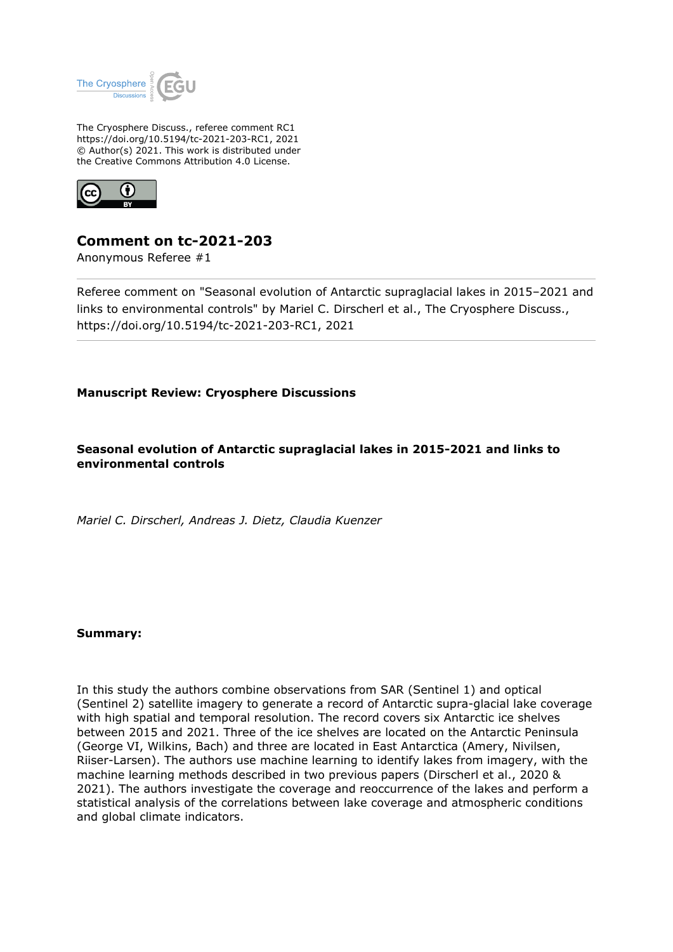

The Cryosphere Discuss., referee comment RC1 https://doi.org/10.5194/tc-2021-203-RC1, 2021 © Author(s) 2021. This work is distributed under the Creative Commons Attribution 4.0 License.



# **Comment on tc-2021-203**

Anonymous Referee #1

Referee comment on "Seasonal evolution of Antarctic supraglacial lakes in 2015–2021 and links to environmental controls" by Mariel C. Dirscherl et al., The Cryosphere Discuss., https://doi.org/10.5194/tc-2021-203-RC1, 2021

## **Manuscript Review: Cryosphere Discussions**

**Seasonal evolution of Antarctic supraglacial lakes in 2015-2021 and links to environmental controls**

*Mariel C. Dirscherl, Andreas J. Dietz, Claudia Kuenzer*

### **Summary:**

In this study the authors combine observations from SAR (Sentinel 1) and optical (Sentinel 2) satellite imagery to generate a record of Antarctic supra-glacial lake coverage with high spatial and temporal resolution. The record covers six Antarctic ice shelves between 2015 and 2021. Three of the ice shelves are located on the Antarctic Peninsula (George VI, Wilkins, Bach) and three are located in East Antarctica (Amery, Nivilsen, Riiser-Larsen). The authors use machine learning to identify lakes from imagery, with the machine learning methods described in two previous papers (Dirscherl et al., 2020 & 2021). The authors investigate the coverage and reoccurrence of the lakes and perform a statistical analysis of the correlations between lake coverage and atmospheric conditions and global climate indicators.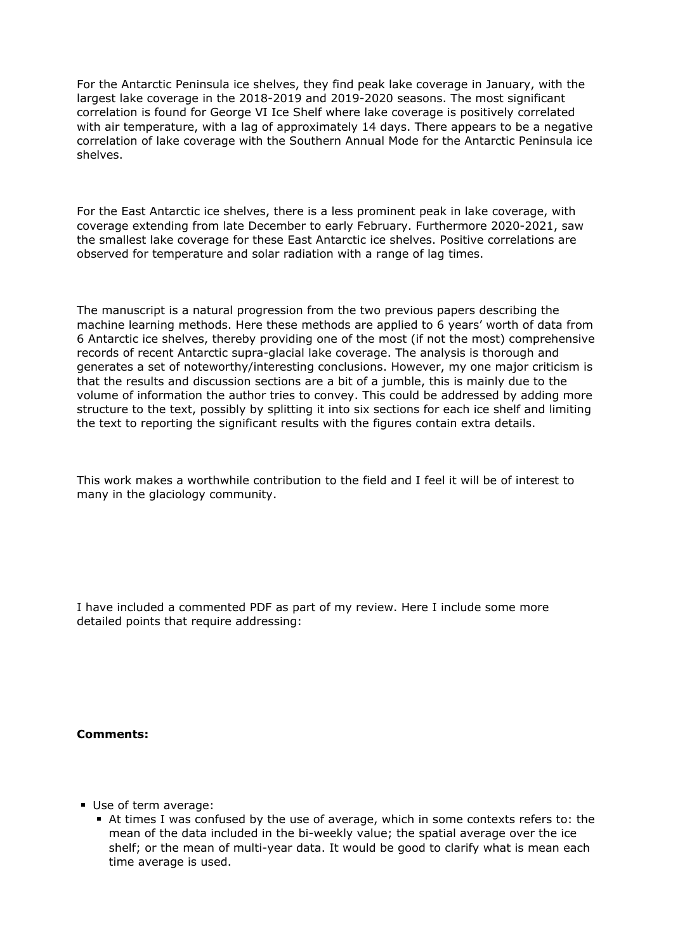For the Antarctic Peninsula ice shelves, they find peak lake coverage in January, with the largest lake coverage in the 2018-2019 and 2019-2020 seasons. The most significant correlation is found for George VI Ice Shelf where lake coverage is positively correlated with air temperature, with a lag of approximately 14 days. There appears to be a negative correlation of lake coverage with the Southern Annual Mode for the Antarctic Peninsula ice shelves.

For the East Antarctic ice shelves, there is a less prominent peak in lake coverage, with coverage extending from late December to early February. Furthermore 2020-2021, saw the smallest lake coverage for these East Antarctic ice shelves. Positive correlations are observed for temperature and solar radiation with a range of lag times.

The manuscript is a natural progression from the two previous papers describing the machine learning methods. Here these methods are applied to 6 years' worth of data from 6 Antarctic ice shelves, thereby providing one of the most (if not the most) comprehensive records of recent Antarctic supra-glacial lake coverage. The analysis is thorough and generates a set of noteworthy/interesting conclusions. However, my one major criticism is that the results and discussion sections are a bit of a jumble, this is mainly due to the volume of information the author tries to convey. This could be addressed by adding more structure to the text, possibly by splitting it into six sections for each ice shelf and limiting the text to reporting the significant results with the figures contain extra details.

This work makes a worthwhile contribution to the field and I feel it will be of interest to many in the glaciology community.

I have included a commented PDF as part of my review. Here I include some more detailed points that require addressing:

### **Comments:**

- Use of term average:
	- At times I was confused by the use of average, which in some contexts refers to: the mean of the data included in the bi-weekly value; the spatial average over the ice shelf; or the mean of multi-year data. It would be good to clarify what is mean each time average is used.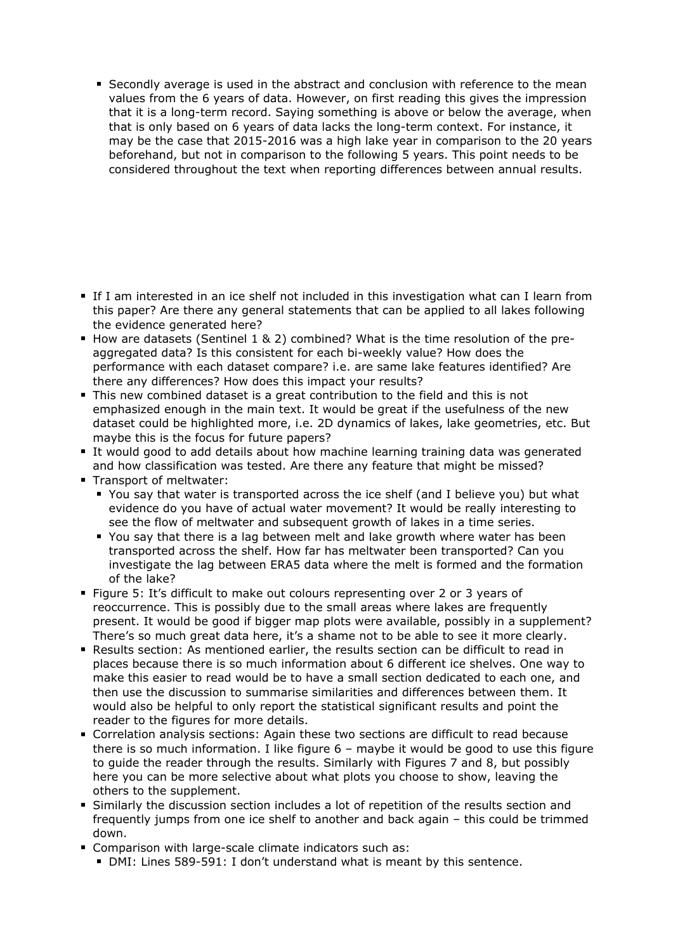Secondly average is used in the abstract and conclusion with reference to the mean values from the 6 years of data. However, on first reading this gives the impression that it is a long-term record. Saying something is above or below the average, when that is only based on 6 years of data lacks the long-term context. For instance, it may be the case that 2015-2016 was a high lake year in comparison to the 20 years beforehand, but not in comparison to the following 5 years. This point needs to be considered throughout the text when reporting differences between annual results.

- If I am interested in an ice shelf not included in this investigation what can I learn from this paper? Are there any general statements that can be applied to all lakes following the evidence generated here?
- How are datasets (Sentinel 1 & 2) combined? What is the time resolution of the preaggregated data? Is this consistent for each bi-weekly value? How does the performance with each dataset compare? i.e. are same lake features identified? Are there any differences? How does this impact your results?
- This new combined dataset is a great contribution to the field and this is not emphasized enough in the main text. It would be great if the usefulness of the new dataset could be highlighted more, i.e. 2D dynamics of lakes, lake geometries, etc. But maybe this is the focus for future papers?
- It would good to add details about how machine learning training data was generated and how classification was tested. Are there any feature that might be missed?
- Transport of meltwater:
	- You say that water is transported across the ice shelf (and I believe you) but what evidence do you have of actual water movement? It would be really interesting to see the flow of meltwater and subsequent growth of lakes in a time series.
	- You say that there is a lag between melt and lake growth where water has been transported across the shelf. How far has meltwater been transported? Can you investigate the lag between ERA5 data where the melt is formed and the formation of the lake?
- Figure 5: It's difficult to make out colours representing over 2 or 3 years of reoccurrence. This is possibly due to the small areas where lakes are frequently present. It would be good if bigger map plots were available, possibly in a supplement? There's so much great data here, it's a shame not to be able to see it more clearly.
- Results section: As mentioned earlier, the results section can be difficult to read in places because there is so much information about 6 different ice shelves. One way to make this easier to read would be to have a small section dedicated to each one, and then use the discussion to summarise similarities and differences between them. It would also be helpful to only report the statistical significant results and point the reader to the figures for more details.
- Correlation analysis sections: Again these two sections are difficult to read because there is so much information. I like figure 6 – maybe it would be good to use this figure to guide the reader through the results. Similarly with Figures 7 and 8, but possibly here you can be more selective about what plots you choose to show, leaving the others to the supplement.
- Similarly the discussion section includes a lot of repetition of the results section and frequently jumps from one ice shelf to another and back again – this could be trimmed down.
- **Comparison with large-scale climate indicators such as:** 
	- DMI: Lines 589-591: I don't understand what is meant by this sentence.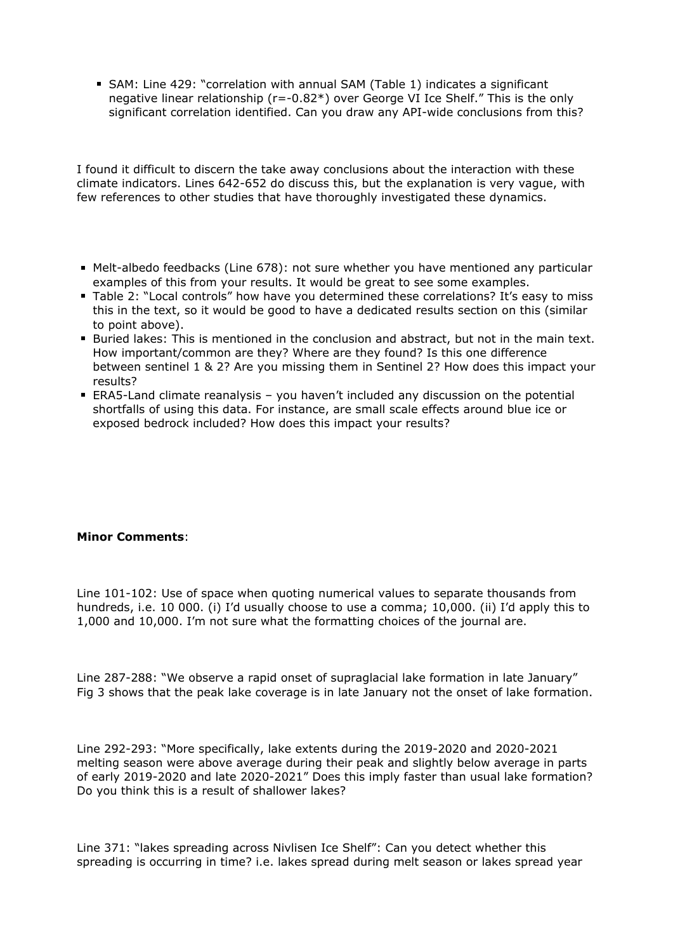SAM: Line 429: "correlation with annual SAM (Table 1) indicates a significant negative linear relationship (r=-0.82\*) over George VI Ice Shelf." This is the only significant correlation identified. Can you draw any API-wide conclusions from this?

I found it difficult to discern the take away conclusions about the interaction with these climate indicators. Lines 642-652 do discuss this, but the explanation is very vague, with few references to other studies that have thoroughly investigated these dynamics.

- Melt-albedo feedbacks (Line 678): not sure whether you have mentioned any particular examples of this from your results. It would be great to see some examples.
- Table 2: "Local controls" how have you determined these correlations? It's easy to miss this in the text, so it would be good to have a dedicated results section on this (similar to point above).
- Buried lakes: This is mentioned in the conclusion and abstract, but not in the main text. How important/common are they? Where are they found? Is this one difference between sentinel 1 & 2? Are you missing them in Sentinel 2? How does this impact your results?
- ERA5-Land climate reanalysis you haven't included any discussion on the potential shortfalls of using this data. For instance, are small scale effects around blue ice or exposed bedrock included? How does this impact your results?

### **Minor Comments**:

Line 101-102: Use of space when quoting numerical values to separate thousands from hundreds, i.e. 10 000. (i) I'd usually choose to use a comma; 10,000. (ii) I'd apply this to 1,000 and 10,000. I'm not sure what the formatting choices of the journal are.

Line 287-288: "We observe a rapid onset of supraglacial lake formation in late January" Fig 3 shows that the peak lake coverage is in late January not the onset of lake formation.

Line 292-293: "More specifically, lake extents during the 2019-2020 and 2020-2021 melting season were above average during their peak and slightly below average in parts of early 2019-2020 and late 2020-2021" Does this imply faster than usual lake formation? Do you think this is a result of shallower lakes?

Line 371: "lakes spreading across Nivlisen Ice Shelf": Can you detect whether this spreading is occurring in time? i.e. lakes spread during melt season or lakes spread year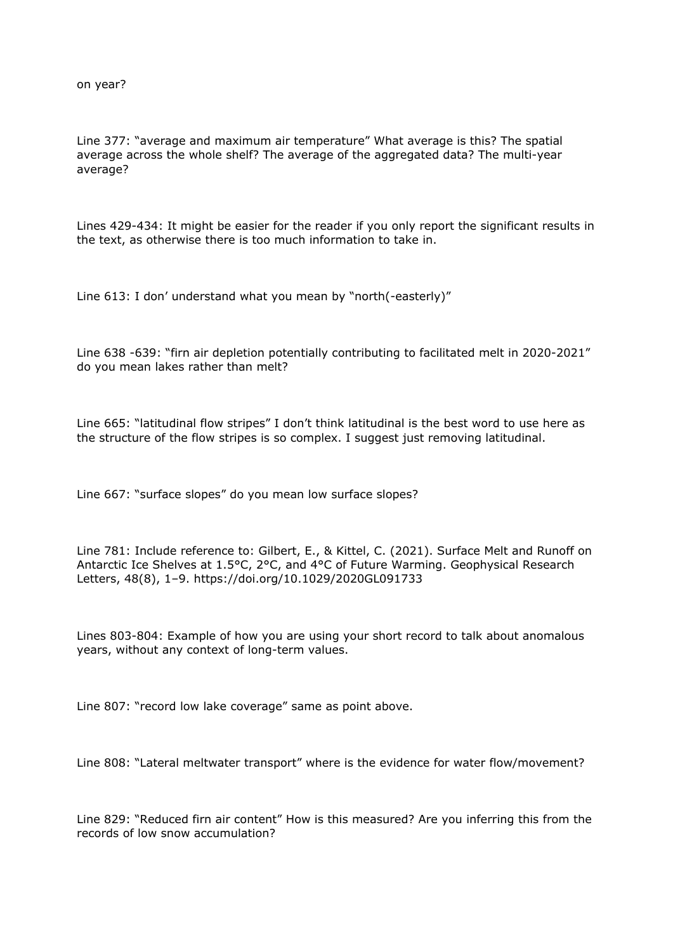on year?

Line 377: "average and maximum air temperature" What average is this? The spatial average across the whole shelf? The average of the aggregated data? The multi-year average?

Lines 429-434: It might be easier for the reader if you only report the significant results in the text, as otherwise there is too much information to take in.

Line 613: I don' understand what you mean by "north(-easterly)"

Line 638 -639: "firn air depletion potentially contributing to facilitated melt in 2020-2021" do you mean lakes rather than melt?

Line 665: "latitudinal flow stripes" I don't think latitudinal is the best word to use here as the structure of the flow stripes is so complex. I suggest just removing latitudinal.

Line 667: "surface slopes" do you mean low surface slopes?

Line 781: Include reference to: Gilbert, E., & Kittel, C. (2021). Surface Melt and Runoff on Antarctic Ice Shelves at 1.5°C, 2°C, and 4°C of Future Warming. Geophysical Research Letters, 48(8), 1–9. https://doi.org/10.1029/2020GL091733

Lines 803-804: Example of how you are using your short record to talk about anomalous years, without any context of long-term values.

Line 807: "record low lake coverage" same as point above.

Line 808: "Lateral meltwater transport" where is the evidence for water flow/movement?

Line 829: "Reduced firn air content" How is this measured? Are you inferring this from the records of low snow accumulation?